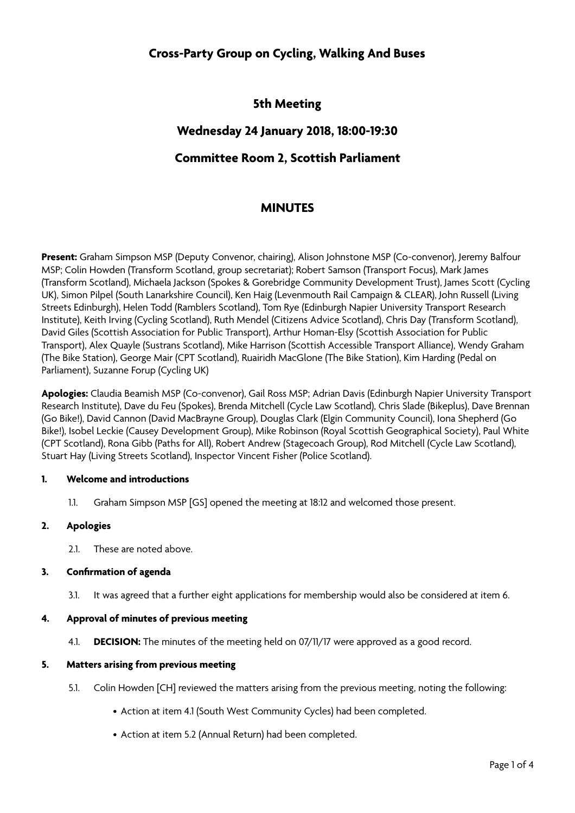# **Cross-Party Group on Cycling, Walking And Buses**

## **5th Meeting**

## **Wednesday 24 January 2018, 18:00-19:30**

## **Committee Room 2, Scottish Parliament**

## **MINUTES**

**Present:** Graham Simpson MSP (Deputy Convenor, chairing), Alison Johnstone MSP (Co-convenor), Jeremy Balfour MSP; Colin Howden (Transform Scotland, group secretariat); Robert Samson (Transport Focus), Mark James (Transform Scotland), Michaela Jackson (Spokes & Gorebridge Community Development Trust), James Scott (Cycling UK), Simon Pilpel (South Lanarkshire Council), Ken Haig (Levenmouth Rail Campaign & CLEAR), John Russell (Living Streets Edinburgh), Helen Todd (Ramblers Scotland), Tom Rye (Edinburgh Napier University Transport Research Institute), Keith Irving (Cycling Scotland), Ruth Mendel (Citizens Advice Scotland), Chris Day (Transform Scotland), David Giles (Scottish Association for Public Transport), Arthur Homan-Elsy (Scottish Association for Public Transport), Alex Quayle (Sustrans Scotland), Mike Harrison (Scottish Accessible Transport Alliance), Wendy Graham (The Bike Station), George Mair (CPT Scotland), Ruairidh MacGlone (The Bike Station), Kim Harding (Pedal on Parliament), Suzanne Forup (Cycling UK)

**Apologies:** Claudia Beamish MSP (Co-convenor), Gail Ross MSP; Adrian Davis (Edinburgh Napier University Transport Research Institute), Dave du Feu (Spokes), Brenda Mitchell (Cycle Law Scotland), Chris Slade (Bikeplus), Dave Brennan (Go Bike!), David Cannon (David MacBrayne Group), Douglas Clark (Elgin Community Council), Iona Shepherd (Go Bike!), Isobel Leckie (Causey Development Group), Mike Robinson (Royal Scottish Geographical Society), Paul White (CPT Scotland), Rona Gibb (Paths for All), Robert Andrew (Stagecoach Group), Rod Mitchell (Cycle Law Scotland), Stuart Hay (Living Streets Scotland), Inspector Vincent Fisher (Police Scotland).

#### **1. Welcome and introductions**

1.1. Graham Simpson MSP [GS] opened the meeting at 18:12 and welcomed those present.

### **2. Apologies**

2.1. These are noted above.

#### **3. Confirmation of agenda**

3.1. It was agreed that a further eight applications for membership would also be considered at item 6.

#### **4. Approval of minutes of previous meeting**

4.1. **DECISION:** The minutes of the meeting held on 07/11/17 were approved as a good record.

#### **5. Matters arising from previous meeting**

- 5.1. Colin Howden [CH] reviewed the matters arising from the previous meeting, noting the following:
	- Action at item 4.1 (South West Community Cycles) had been completed.
	- Action at item 5.2 (Annual Return) had been completed.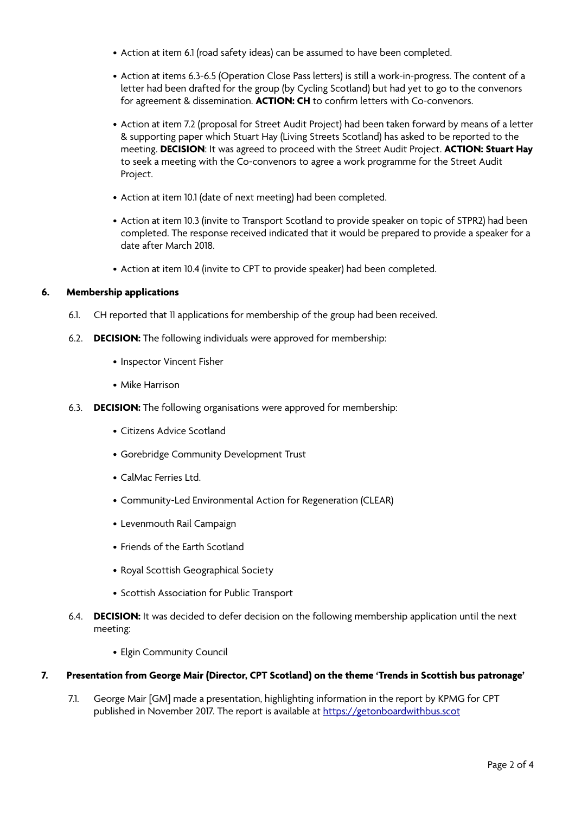- Action at item 6.1 (road safety ideas) can be assumed to have been completed.
- Action at items 6.3-6.5 (Operation Close Pass letters) is still a work-in-progress. The content of a letter had been drafted for the group (by Cycling Scotland) but had yet to go to the convenors for agreement & dissemination. **ACTION: CH** to confirm letters with Co-convenors.
- Action at item 7.2 (proposal for Street Audit Project) had been taken forward by means of a letter & supporting paper which Stuart Hay (Living Streets Scotland) has asked to be reported to the meeting. **DECISION**: It was agreed to proceed with the Street Audit Project. **ACTION: Stuart Hay** to seek a meeting with the Co-convenors to agree a work programme for the Street Audit Project.
- Action at item 10.1 (date of next meeting) had been completed.
- Action at item 10.3 (invite to Transport Scotland to provide speaker on topic of STPR2) had been completed. The response received indicated that it would be prepared to provide a speaker for a date after March 2018.
- Action at item 10.4 (invite to CPT to provide speaker) had been completed.

### **6. Membership applications**

- 6.1. CH reported that 11 applications for membership of the group had been received.
- 6.2. **DECISION:** The following individuals were approved for membership:
	- Inspector Vincent Fisher
	- Mike Harrison
- 6.3. **DECISION:** The following organisations were approved for membership:
	- Citizens Advice Scotland
	- Gorebridge Community Development Trust
	- CalMac Ferries Ltd.
	- Community-Led Environmental Action for Regeneration (CLEAR)
	- Levenmouth Rail Campaign
	- Friends of the Earth Scotland
	- Royal Scottish Geographical Society
	- Scottish Association for Public Transport
- 6.4. **DECISION:** It was decided to defer decision on the following membership application until the next meeting:
	- Elgin Community Council

#### **7. Presentation from George Mair (Director, CPT Scotland) on the theme 'Trends in Scottish bus patronage'**

7.1. George Mair [GM] made a presentation, highlighting information in the report by KPMG for CPT published in November 2017. The report is available at<https://getonboardwithbus.scot>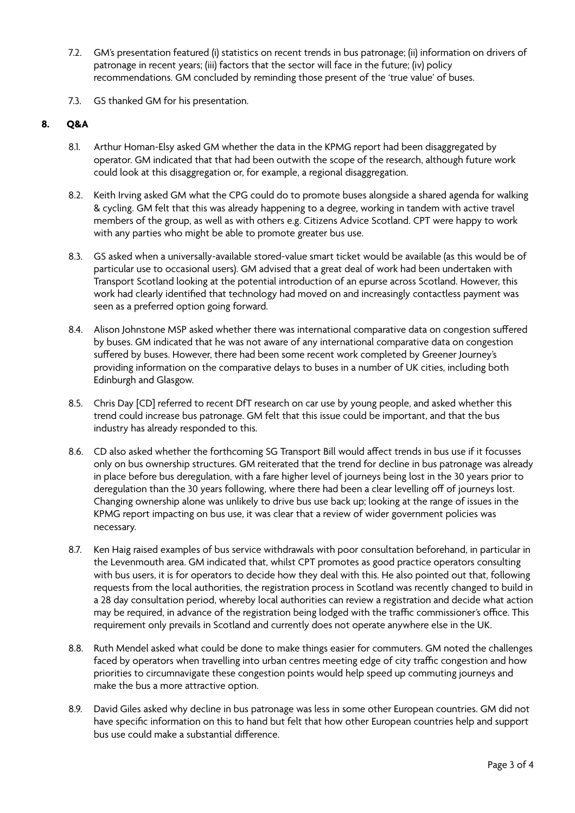- 7.2. GM's presentation featured (i) statistics on recent trends in bus patronage; (ii) information on drivers of patronage in recent years; (iii) factors that the sector will face in the future; (iv) policy recommendations. GM concluded by reminding those present of the 'true value' of buses.
- 7.3. GS thanked GM for his presentation.

### **8. Q&A**

- 8.1. Arthur Homan-Elsy asked GM whether the data in the KPMG report had been disaggregated by operator. GM indicated that that had been outwith the scope of the research, although future work could look at this disaggregation or, for example, a regional disaggregation.
- 8.2. Keith Irving asked GM what the CPG could do to promote buses alongside a shared agenda for walking & cycling. GM felt that this was already happening to a degree, working in tandem with active travel members of the group, as well as with others e.g. Citizens Advice Scotland. CPT were happy to work with any parties who might be able to promote greater bus use.
- 8.3. GS asked when a universally-available stored-value smart ticket would be available (as this would be of particular use to occasional users). GM advised that a great deal of work had been undertaken with Transport Scotland looking at the potential introduction of an epurse across Scotland. However, this work had clearly identified that technology had moved on and increasingly contactless payment was seen as a preferred option going forward.
- 8.4. Alison Johnstone MSP asked whether there was international comparative data on congestion sufered by buses. GM indicated that he was not aware of any international comparative data on congestion sufered by buses. However, there had been some recent work completed by Greener Journey's providing information on the comparative delays to buses in a number of UK cities, including both Edinburgh and Glasgow.
- 8.5. Chris Day [CD] referred to recent DfT research on car use by young people, and asked whether this trend could increase bus patronage. GM felt that this issue could be important, and that the bus industry has already responded to this.
- 8.6. CD also asked whether the forthcoming SG Transport Bill would affect trends in bus use if it focusses only on bus ownership structures. GM reiterated that the trend for decline in bus patronage was already in place before bus deregulation, with a fare higher level of journeys being lost in the 30 years prior to deregulation than the 30 years following, where there had been a clear levelling off of journeys lost. Changing ownership alone was unlikely to drive bus use back up; looking at the range of issues in the KPMG report impacting on bus use, it was clear that a review of wider government policies was necessary.
- 8.7. Ken Haig raised examples of bus service withdrawals with poor consultation beforehand, in particular in the Levenmouth area. GM indicated that, whilst CPT promotes as good practice operators consulting with bus users, it is for operators to decide how they deal with this. He also pointed out that, following requests from the local authorities, the registration process in Scotland was recently changed to build in a 28 day consultation period, whereby local authorities can review a registration and decide what action may be required, in advance of the registration being lodged with the traffic commissioner's office. This requirement only prevails in Scotland and currently does not operate anywhere else in the UK.
- 8.8. Ruth Mendel asked what could be done to make things easier for commuters. GM noted the challenges faced by operators when travelling into urban centres meeting edge of city traffic congestion and how priorities to circumnavigate these congestion points would help speed up commuting journeys and make the bus a more attractive option.
- 8.9. David Giles asked why decline in bus patronage was less in some other European countries. GM did not have specific information on this to hand but felt that how other European countries help and support bus use could make a substantial diference.